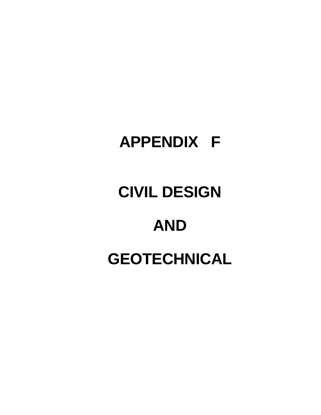## **APPENDIX F**

## **CIVIL DESIGN**

## **AND GEOTECHNICAL**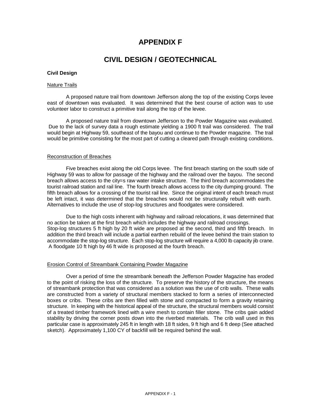#### **APPENDIX F**

#### **CIVIL DESIGN / GEOTECHNICAL**

#### **Civil Design**

#### Nature Trails

A proposed nature trail from downtown Jefferson along the top of the existing Corps levee east of downtown was evaluated. It was determined that the best course of action was to use volunteer labor to construct a primitive trail along the top of the levee.

A proposed nature trail from downtown Jefferson to the Powder Magazine was evaluated. Due to the lack of survey data a rough estimate yielding a 1900 ft trail was considered. The trail would begin at Highway 59, southeast of the bayou and continue to the Powder magazine. The trail would be primitive consisting for the most part of cutting a cleared path through existing conditions.

#### Reconstruction of Breaches

Five breaches exist along the old Corps levee. The first breach starting on the south side of Highway 59 was to allow for passage of the highway and the railroad over the bayou. The second breach allows access to the city=s raw water intake structure. The third breach accommodates the tourist railroad station and rail line. The fourth breach allows access to the city dumping ground. The fifth breach allows for a crossing of the tourist rail line. Since the original intent of each breach must be left intact, it was determined that the breaches would not be structurally rebuilt with earth. Alternatives to include the use of stop-log structures and floodgates were considered.

Due to the high costs inherent with highway and railroad relocations, it was determined that no action be taken at the first breach which includes the highway and railroad crossings. Stop-log structures 5 ft high by 20 ft wide are proposed at the second, third and fifth breach. In addition the third breach will include a partial earthen rebuild of the levee behind the train station to accommodate the stop-log structure. Each stop-log structure will require a 4,000 lb capacity jib crane. A floodgate 10 ft high by 46 ft wide is proposed at the fourth breach.

#### Erosion Control of Streambank Containing Powder Magazine

Over a period of time the streambank beneath the Jefferson Powder Magazine has eroded to the point of risking the loss of the structure. To preserve the history of the structure, the means of streambank protection that was considered as a solution was the use of crib walls. These walls are constructed from a variety of structural members stacked to form a series of interconnected boxes or cribs. These cribs are then filled with stone and compacted to form a gravity retaining structure. In keeping with the historical appeal of the structure, the structural members would consist of a treated timber framework lined with a wire mesh to contain filler stone. The cribs gain added stability by driving the corner posts down into the riverbed materials. The crib wall used in this particular case is approximately 245 ft in length with 18 ft sides, 9 ft high and 6 ft deep (See attached sketch). Approximately 1,100 CY of backfill will be required behind the wall.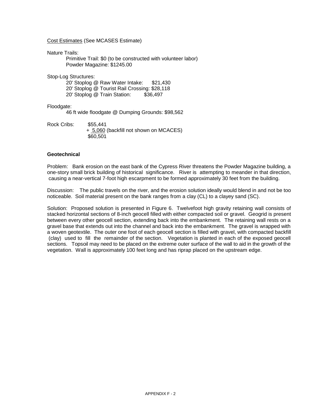Cost Estimates (See MCASES Estimate)

Nature Trails:

Primitive Trail: \$0 (to be constructed with volunteer labor) Powder Magazine: \$1245.00

Stop-Log Structures:

20' Stoplog @ Raw Water Intake: \$21,430 20' Stoplog @ Tourist Rail Crossing: \$28,118 20' Stoplog @ Train Station: \$36,497

#### Floodgate:

46 ft wide floodgate @ Dumping Grounds: \$98,562

Rock Cribs: \$55,441 + 5,060 (backfill not shown on MCACES) \$60,501

#### **Geotechnical**

Problem: Bank erosion on the east bank of the Cypress River threatens the Powder Magazine building, a one-story small brick building of historical significance. River is attempting to meander in that direction, causing a near-vertical 7-foot high escarpment to be formed approximately 30 feet from the building.

Discussion: The public travels on the river, and the erosion solution ideally would blend in and not be too noticeable. Soil material present on the bank ranges from a clay (CL) to a clayey sand (SC).

Solution: Proposed solution is presented in Figure 6. Twelvefoot high gravity retaining wall consists of stacked horizontal sections of 8-inch geocell filled with either compacted soil or gravel. Geogrid is present between every other geocell section, extending back into the embankment. The retaining wall rests on a gravel base that extends out into the channel and back into the embankment. The gravel is wrapped with a woven geotextile. The outer one foot of each geocell section is filled with gravel, with compacted backfill (clay) used to fill the remainder of the section. Vegetation is planted in each of the exposed geocell sections. Topsoil may need to be placed on the extreme outer surface of the wall to aid in the growth of the vegetation. Wall is approximately 100 feet long and has riprap placed on the upstream edge.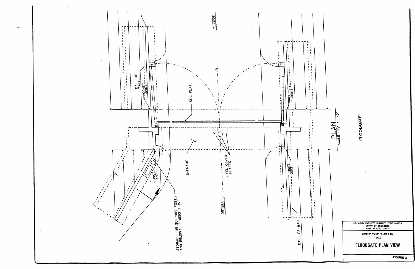

**FIGURE 2** 

#### **FLOODGATE PLAN VIEW**

CYPRESS VALLEY WATERSHED<br>TEXAS

U.S. ARMY ENGINEER DISTRICT, FORT WORTH<br>CORPS OF ENGINEERS<br>FORT WORTH, TEXAS



 $\overline{C}$ 

SCALE : VO.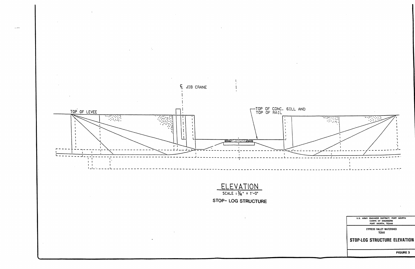

**FIGURE 3** 

#### STOP-LOG STRUCTURE ELEVATION

**CYPRESS VALLEY WATERSHED<br>TEXAS** 



 $\overline{\mathcal{L}(\mathcal{P}^{\bullet})}$  .

 $-1 - -$ 





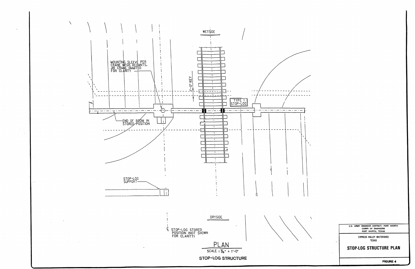

**FIGURE 4** 

U.S. ARMY ENGINEER DISTRICT, FORT WORTH<br>CORPS OF ENGINEERS<br>FORT WORTH, TEXAS

**CYPRESS VALLEY WATERSHED<br>TEXAS** 

STOP-LOG STRUCTURE PLAN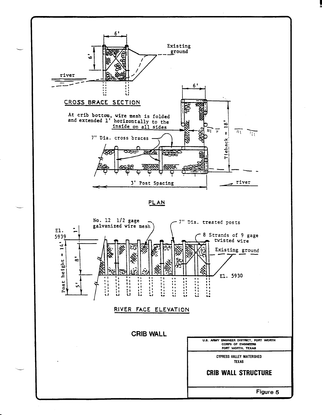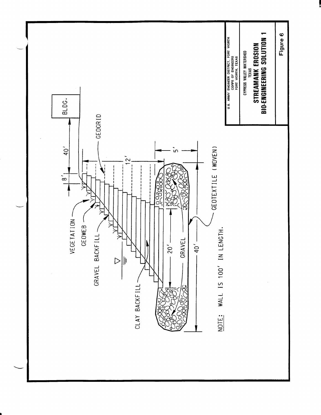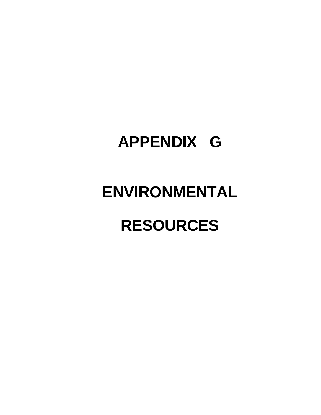## **APPENDIX G**

# **ENVIRONMENTAL**

## **RESOURCES**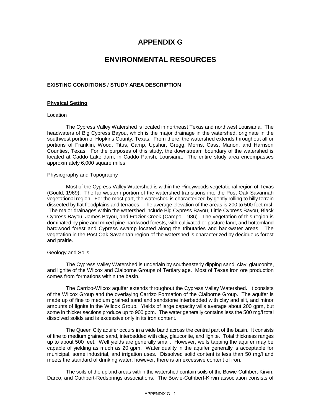#### **APPENDIX G**

#### **ENVIRONMENTAL RESOURCES**

#### **EXISTING CONDITIONS / STUDY AREA DESCRIPTION**

#### **Physical Setting**

#### Location

The Cypress Valley Watershed is located in northeast Texas and northwest Louisiana. The headwaters of Big Cypress Bayou, which is the major drainage in the watershed, originate in the southwest portion of Hopkins County, Texas. From there, the watershed extends throughout all or portions of Franklin, Wood, Titus, Camp, Upshur, Gregg, Morris, Cass, Marion, and Harrison Counties, Texas. For the purposes of this study, the downstream boundary of the watershed is located at Caddo Lake dam, in Caddo Parish, Louisiana. The entire study area encompasses approximately 6,000 square miles.

#### Physiography and Topography

Most of the Cypress Valley Watershed is within the Pineywoods vegetational region of Texas (Gould, 1969). The far western portion of the watershed transitions into the Post Oak Savannah vegetational region. For the most part, the watershed is characterized by gently rolling to hilly terrain dissected by flat floodplains and terraces. The average elevation of the areas is 200 to 500 feet msl. The major drainages within the watershed include Big Cypress Bayou, Little Cypress Bayou, Black Cypress Bayou, James Bayou, and Frazier Creek (Campo, 1986). The vegetation of this region is dominated by pine and mixed pine-hardwood forests, with cultivated or pasture land, and bottomland hardwood forest and Cypress swamp located along the tributaries and backwater areas. The vegetation in the Post Oak Savannah region of the watershed is characterized by deciduous forest and prairie.

#### Geology and Soils

The Cypress Valley Watershed is underlain by southeasterly dipping sand, clay, glauconite, and lignite of the Wilcox and Claiborne Groups of Tertiary age. Most of Texas iron ore production comes from formations within the basin.

The Carrizo-Wilcox aquifer extends throughout the Cypress Valley Watershed. It consists of the Wilcox Group and the overlaying Carrizo Formation of the Claiborne Group. The aquifer is made up of fine to medium grained sand and sandstone interbedded with clay and silt, and minor amounts of lignite in the Wilcox Group. Yields of large capacity wills average about 200 gpm, but some in thicker sections produce up to 900 gpm. The water generally contains less the 500 mg/l total dissolved solids and is excessive only in its iron content.

The Queen City aquifer occurs in a wide band across the central part of the basin. It consists of fine to medium grained sand, interbedded with clay, glauconite, and lignite. Total thickness ranges up to about 500 feet. Well yields are generally small. However, wells tapping the aquifer may be capable of yielding as much as 20 gpm. Water quality in the aquifer generally is acceptable for municipal, some industrial, and irrigation uses. Dissolved solid content is less than 50 mg/l and meets the standard of drinking water; however, there is an excessive content of iron.

The soils of the upland areas within the watershed contain soils of the Bowie-Cuthbert-Kirvin, Darco, and Cuthbert-Redsprings associations. The Bowie-Cuthbert-Kirvin association consists of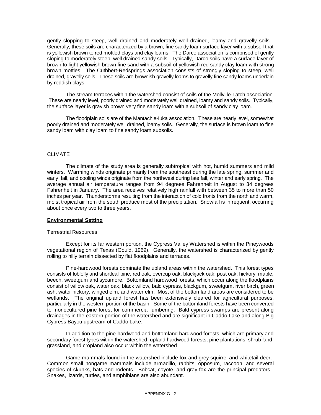gently slopping to steep, well drained and moderately well drained, loamy and gravelly soils. Generally, these soils are characterized by a brown, fine sandy loam surface layer with a subsoil that is yellowish brown to red mottled clays and clay loams. The Darco association is comprised of gently sloping to moderately steep, well drained sandy soils. Typically, Darco soils have a surface layer of brown to light yellowish brown fine sand with a subsoil of yellowish red sandy clay loam with strong brown mottles. The Cuthbert-Redsprings association consists of strongly sloping to steep, well drained, gravelly soils. These soils are brownish gravelly loams to gravelly fine sandy loams underlain by reddish clays.

The stream terraces within the watershed consist of soils of the Mollville-Latch association. These are nearly level, poorly drained and moderately well drained, loamy and sandy soils. Typically, the surface layer is grayish brown very fine sandy loam with a subsoil of sandy clay loam.

The floodplain soils are of the Mantachie-Iuka association. These are nearly level, somewhat poorly drained and moderately well drained, loamy soils. Generally, the surface is brown loam to fine sandy loam with clay loam to fine sandy loam subsoils.

#### CLIMATE

The climate of the study area is generally subtropical with hot, humid summers and mild winters. Warming winds originate primarily from the southeast during the late spring, summer and early fall, and cooling winds originate from the northwest during late fall, winter and early spring. The average annual air temperature ranges from 94 degrees Fahrenheit in August to 34 degrees Fahrenheit in January. The area receives relatively high rainfall with between 35 to more than 50 inches per year. Thunderstorms resulting from the interaction of cold fronts from the north and warm, moist tropical air from the south produce most of the precipitation. Snowfall is infrequent, occurring about once every two to three years.

#### **Environmental Setting**

#### Terrestrial Resources

Except for its far western portion, the Cypress Valley Watershed is within the Pineywoods vegetational region of Texas (Gould, 1969). Generally, the watershed is characterized by gently rolling to hilly terrain dissected by flat floodplains and terraces.

Pine-hardwood forests dominate the upland areas within the watershed. This forest types consists of loblolly and shortleaf pine, red oak, overcup oak, blackjack oak, post oak, hickory, maple, beech, sweetgum and sycamore. Bottomland hardwood forests, which occur along the floodplains consist of willow oak, water oak, black willow, bald cypress, blackgum, sweetgum, river birch, green ash, water hickory, winged elm, and water elm. Most of the bottomland areas are considered to be wetlands. The original upland forest has been extensively cleared for agricultural purposes, particularly in the western portion of the basin. Some of the bottomland forests have been converted to monocultured pine forest for commercial lumbering. Bald cypress swamps are present along drainages in the eastern portion of the watershed and are significant in Caddo Lake and along Big Cypress Bayou upstream of Caddo Lake.

In addition to the pine-hardwood and bottomland hardwood forests, which are primary and secondary forest types within the watershed, upland hardwood forests, pine plantations, shrub land, grassland, and cropland also occur within the watershed.

Game mammals found in the watershed include fox and grey squirrel and whitetail deer. Common small nongame mammals include armadillo, rabbits, opposum, raccoon, and several species of skunks, bats and rodents. Bobcat, coyote, and gray fox are the principal predators. Snakes, lizards, turtles, and amphibians are also abundant.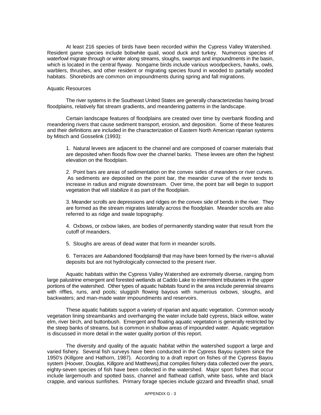At least 216 species of birds have been recorded within the Cypress Valley Watershed. Resident game species include bobwhite quail, wood duck and turkey. Numerous species of waterfowl migrate through or winter along streams, sloughs, swamps and impoundments in the basin, which is located in the central flyway. Nongame birds include various woodpeckers, hawks, owls, warblers, thrushes, and other resident or migrating species found in wooded to partially wooded habitats. Shorebirds are common on impoundments during spring and fall migrations.

#### Aquatic Resources

The river systems in the Southeast United States are generally characterizedas having broad floodplains, relatively flat stream gradients, and meandering patterns in the landscape.

Certain landscape features of floodplains are created over time by overbank flooding and meandering rivers that cause sediment transport, erosion, and deposition. Some of these features and their definitions are included in the characterization of Eastern North American riparian systems by Mitsch and Gosselink (1993):

1. Natural levees are adjacent to the channel and are composed of coarser materials that are deposited when floods flow over the channel banks. These levees are often the highest elevation on the floodplain.

2. Point bars are areas of sedimentation on the convex sides of meanders or river curves. As sediments are deposited on the point bar, the meander curve of the river tends to increase in radius and migrate downstream. Over time, the point bar will begin to support vegetation that will stabilize it as part of the floodplain.

3. Meander scrolls are depressions and ridges on the convex side of bends in the river. They are formed as the stream migrates laterally across the floodplain. Meander scrolls are also referred to as ridge and swale topography.

4. Oxbows, or oxbow lakes, are bodies of permanently standing water that result from the cutoff of meanders.

5. Sloughs are areas of dead water that form in meander scrolls.

6. Terraces are Aabandoned floodplains@ that may have been formed by the river=s alluvial deposits but are not hydrologically connected to the present river.

Aquatic habitats within the Cypress Valley Watershed are extremely diverse, ranging from large palustrine emergent and forested wetlands at Caddo Lake to intermittent tributaries in the upper portions of the watershed. Other types of aquatic habitats found in the area include perennial streams with riffles, runs, and pools; sluggish flowing bayous with numerous oxbows, sloughs, and backwaters; and man-made water impoundments and reservoirs.

These aquatic habitats support a variety of riparian and aquatic vegetation. Common woody vegetation lining streambanks and overhanging the water include bald cypress, black willow, water elm, river birch, and buttonbush. Emergent and floating aquatic vegetation is generally restricted by the steep banks of streams, but is common in shallow areas of impounded water. Aquatic vegetation is discussed in more detail in the water quality portion of this report.

The diversity and quality of the aquatic habitat within the watershed support a large and varied fishery. Several fish surveys have been conducted in the Cypress Bayou system since the 1950's (Killgore and Hathorn, 1987). According to a draft report on fishes of the Cypress Bayou system (Hoover, Douglas, Killgore and Matthews),that compiles fishery data collected over the years, eighty-seven species of fish have been collected in the watershed. Major sport fishes that occur include largemouth and spotted bass, channel and flathead catfish, white bass, white and black crappie, and various sunfishes. Primary forage species include gizzard and threadfin shad, small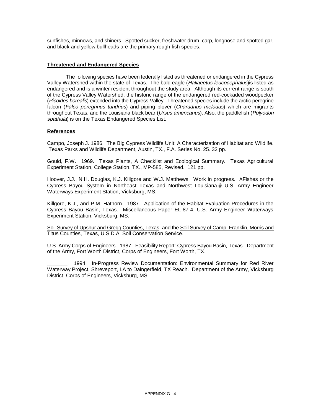sunfishes, minnows, and shiners. Spotted sucker, freshwater drum, carp, longnose and spotted gar, and black and yellow bullheads are the primary rough fish species.

#### **Threatened and Endangered Species**

The following species have been federally listed as threatened or endangered in the Cypress Valley Watershed within the state of Texas. The bald eagle (Haliaeetus leucocephalus) is listed as endangered and is a winter resident throughout the study area. Although its current range is south of the Cypress Valley Watershed, the historic range of the endangered red-cockaded woodpecker (Picoides borealis) extended into the Cypress Valley. Threatened species include the arctic peregrine falcon (Falco peregrinus tundrius) and piping plover (Charadrius melodus) which are migrants throughout Texas, and the Louisiana black bear (Ursus americanus). Also, the paddlefish (Polyodon spathula) is on the Texas Endangered Species List.

#### **References**

Campo, Joseph J. 1986. The Big Cypress Wildlife Unit: A Characterization of Habitat and Wildlife. Texas Parks and Wildlife Department, Austin, TX., F.A. Series No. 25. 32 pp.

Gould, F.W. 1969. Texas Plants, A Checklist and Ecological Summary. Texas Agricultural Experiment Station, College Station, TX., MP-585, Revised. 121 pp.

Hoover, J.J., N.H. Douglas, K.J. Killgore and W.J. Matthews. Work in progress. AFishes or the Cypress Bayou System in Northeast Texas and Northwest Louisiana.@ U.S. Army Engineer Waterways Experiment Station, Vicksburg, MS.

Killgore, K.J., and P.M. Hathorn. 1987. Application of the Habitat Evaluation Procedures in the Cypress Bayou Basin, Texas. Miscellaneous Paper EL-87-4, U.S. Army Engineer Waterways Experiment Station, Vicksburg, MS.

Soil Survey of Upshur and Gregg Counties, Texas, and the Soil Survey of Camp, Franklin, Morris and Titus Counties, Texas, U.S.D.A. Soil Conservation Service.

U.S. Army Corps of Engineers. 1987. Feasibility Report: Cypress Bayou Basin, Texas. Department of the Army, Fort Worth District, Corps of Engineers, Fort Worth, TX.

1994. In-Progress Review Documentation: Environmental Summary for Red River Waterway Project, Shreveport, LA to Daingerfield, TX Reach. Department of the Army, Vicksburg District, Corps of Engineers, Vicksburg, MS.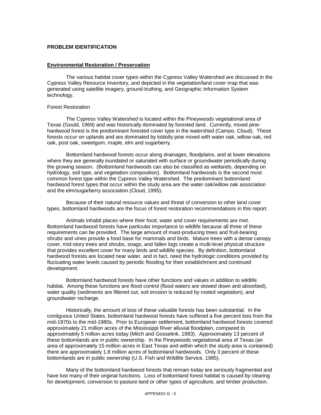#### **PROBLEM IDENTIFICATION**

#### **Environmental Restoration / Preservation**

The various habitat cover types within the Cypress Valley Watershed are discussed in the Cypress Valley Resource Inventory, and depicted in the vegetation/land cover map that was generated using satellite imagery, ground-truthing, and Geographic Information System technology.

#### Forest Restoration

The Cypress Valley Watershed is located within the Pineywoods vegetational area of Texas (Gould, 1969) and was historically dominated by forested land. Currently, mixed pinehardwood forest is the predominant forested cover type in the watershed (Campo, Cloud). These forests occur on uplands and are dominated by loblolly pine mixed with water oak, willow oak, red oak, post oak, sweetgum, maple, elm and sugarberry.

Bottomland hardwood forests occur along drainages, floodplains, and at lower elevations where they are generally inundated or saturated with surface or groundwater periodically during the growing season. (Bottomland hardwoods can also be classified as wetlands, depending on hydrology, soil type, and vegetation composition). Bottomland hardwoods is the second most common forest type within the Cypress Valley Watershed. The predominant bottomland hardwood forest types that occur within the study area are the water oak/willow oak association and the elm/sugarberry association (Cloud, 1995).

Because of their natural resource values and threat of conversion to other land cover types, bottomland hardwoods are the focus of forest restoration recommendations in this report.

Animals inhabit places where their food, water and cover requirements are met. Bottomland hardwood forests have particular importance to wildlife because all three of these requirements can be provided. The large amount of mast-producing trees and fruit-bearing shrubs and vines provide a food base for mammals and birds. Mature trees with a dense canopy cover, mid-story trees and shrubs, snags, and fallen logs create a multi-level physical structure that provides excellent cover for many birds and wildlife species. By definition, bottomland hardwood forests are located near water, and in fact, need the hydrologic conditions provided by fluctuating water levels caused by periodic flooding for their establishment and continued development.

Bottomland hardwood forests have other functions and values in addition to wildlife habitat. Among these functions are flood control (flood waters are slowed down and absorbed), water quality (sediments are filtered out, soil erosion is reduced by rooted vegetation), and groundwater recharge.

Historically, the amount of loss of these valuable forests has been substantial. In the contiguous United States, bottomland hardwood forests have suffered a five percent loss from the mid-1970s to the mid-1980s. Prior to European settlement, bottomland hardwood forests covered approximately 21 million acres of the Mississippi River alluvial floodplain, compared to approximately 5 million acres today (Mitch and Gosselink, 1993). Approximately 13 percent of these bottomlands are in public ownership. In the Pineywoods vegetational area of Texas (an area of approximately 15 million acres in East Texas and within which the study area is contained) there are approximately 1.8 million acres of bottomland hardwoods. Only 3 percent of these bottomlands are in public ownership (U.S. Fish and Wildlife Service, 1985).

Many of the bottomland hardwood forests that remain today are seriously fragmented and have lost many of their original functions. Loss of bottomland forest habitat is caused by clearing for development, conversion to pasture land or other types of agriculture, and timber production.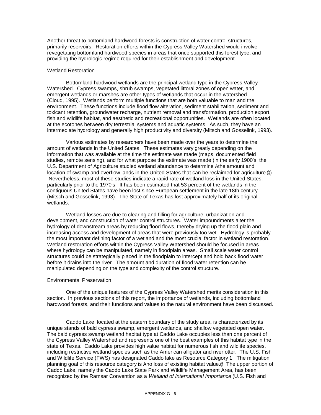Another threat to bottomland hardwood forests is construction of water control structures, primarily reservoirs. Restoration efforts within the Cypress Valley Watershed would involve revegetating bottomland hardwood species in areas that once supported this forest type, and providing the hydrologic regime required for their establishment and development.

#### Wetland Restoration

Bottomland hardwood wetlands are the principal wetland type in the Cypress Valley Watershed. Cypress swamps, shrub swamps, vegetated littoral zones of open water, and emergent wetlands or marshes are other types of wetlands that occur in the watershed (Cloud, 1995). Wetlands perform multiple functions that are both valuable to man and the environment. These functions include flood flow alteration, sediment stabilization, sediment and toxicant retention, groundwater recharge, nutrient removal and transformation, production export, fish and wildlife habitat, and aesthetic and recreational opportunities. Wetlands are often located at the ecotones between dry terrestrial systems and aquatic systems. As such, they have an intermediate hydrology and generally high productivity and diversity (Mitsch and Gosselink, 1993).

Various estimates by researchers have been made over the years to determine the amount of wetlands in the United States. These estimates vary greatly depending on the information that was available at the time the estimate was made (maps, documented field studies, remote sensing), and for what purpose the estimate was made (in the early 1900's, the U.S. Department of Agriculture studied wetland abundance to determine Athe amount and location of swamp and overflow lands in the United States that can be reclaimed for agriculture.@) Nevertheless, most of these studies indicate a rapid rate of wetland loss in the United States, particularly prior to the 1970's. It has been estimated that 53 percent of the wetlands in the contiguous United States have been lost since European settlement in the late 18th century (Mitsch and Gosselink, 1993). The State of Texas has lost approximately half of its original wetlands.

Wetland losses are due to clearing and filling for agriculture, urbanization and development, and construction of water control structures. Water impoundments alter the hydrology of downstream areas by reducing flood flows, thereby drying up the flood plain and increasing access and development of areas that were previously too wet. Hydrology is probably the most important defining factor of a wetland and the most crucial factor in wetland restoration. Wetland restoration efforts within the Cypress Valley Watershed should be focused in areas where hydrology can be manipulated, namely in floodplain areas. Small scale water control structures could be strategically placed in the floodplain to intercept and hold back flood water before it drains into the river. The amount and duration of flood water retention can be manipulated depending on the type and complexity of the control structure.

#### Environmental Preservation

One of the unique features of the Cypress Valley Watershed merits consideration in this section. In previous sections of this report, the importance of wetlands, including bottomland hardwood forests, and their functions and values to the natural environment have been discussed.

Caddo Lake, located at the eastern boundary of the study area, is characterized by its unique stands of bald cypress swamp, emergent wetlands, and shallow vegetated open water. The bald cypress swamp wetland habitat type at Caddo Lake occupies less than one percent of the Cypress Valley Watershed and represents one of the best examples of this habitat type in the state of Texas. Caddo Lake provides high value habitat for numerous fish and wildlife species, including restrictive wetland species such as the American alligator and river otter. The U.S. Fish and Wildlife Service (FWS) has designated Caddo lake as Resource Category 1. The mitigation planning goal of this resource category is Ano loss of existing habitat value.@ The upper portion of Caddo Lake, namely the Caddo Lake State Park and Wildlife Management Area, has been recognized by the Ramsar Convention as a Wetland of International Importance (U.S. Fish and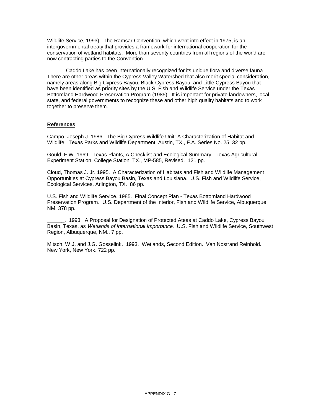Wildlife Service, 1993). The Ramsar Convention, which went into effect in 1975, is an intergovernmental treaty that provides a framework for international cooperation for the conservation of wetland habitats. More than seventy countries from all regions of the world are now contracting parties to the Convention.

Caddo Lake has been internationally recognized for its unique flora and diverse fauna. There are other areas within the Cypress Valley Watershed that also merit special consideration, namely areas along Big Cypress Bayou, Black Cypress Bayou, and Little Cypress Bayou that have been identified as priority sites by the U.S. Fish and Wildlife Service under the Texas Bottomland Hardwood Preservation Program (1985). It is important for private landowners, local, state, and federal governments to recognize these and other high quality habitats and to work together to preserve them.

#### **References**

Campo, Joseph J. 1986. The Big Cypress Wildlife Unit: A Characterization of Habitat and Wildlife. Texas Parks and Wildlife Department, Austin, TX., F.A. Series No. 25. 32 pp.

Gould, F.W. 1969. Texas Plants, A Checklist and Ecological Summary. Texas Agricultural Experiment Station, College Station, TX., MP-585, Revised. 121 pp.

Cloud, Thomas J. Jr. 1995. A Characterization of Habitats and Fish and Wildlife Management Opportunities at Cypress Bayou Basin, Texas and Louisiana. U.S. Fish and Wildlife Service, Ecological Services, Arlington, TX. 86 pp.

U.S. Fish and Wildlife Service. 1985. Final Concept Plan - Texas Bottomland Hardwood Preservation Program. U.S. Department of the Interior, Fish and Wildlife Service, Albuquerque, NM. 378 pp.

\_\_\_\_\_\_. 1993. A Proposal for Designation of Protected Ateas at Caddo Lake, Cypress Bayou Basin, Texas, as Wetlands of International Importance. U.S. Fish and Wildlife Service, Southwest Region, Albuquerque, NM., 7 pp.

Mitsch, W.J. and J.G. Gosselink. 1993. Wetlands, Second Edition. Van Nostrand Reinhold. New York, New York. 722 pp.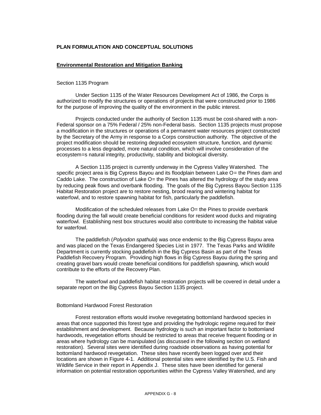#### **PLAN FORMULATION AND CONCEPTUAL SOLUTIONS**

#### **Environmental Restoration and Mitigation Banking**

#### Section 1135 Program

Under Section 1135 of the Water Resources Development Act of 1986, the Corps is authorized to modify the structures or operations of projects that were constructed prior to 1986 for the purpose of improving the quality of the environment in the public interest.

Projects conducted under the authority of Section 1135 must be cost-shared with a non-Federal sponsor on a 75% Federal / 25% non-Federal basis. Section 1135 projects must propose a modification in the structures or operations of a permanent water resources project constructed by the Secretary of the Army in response to a Corps construction authority. The objective of the project modification should be restoring degraded ecosystem structure, function, and dynamic processes to a less degraded, more natural condition, which will involve consideration of the ecosystem=s natural integrity, productivity, stability and biological diversity.

A Section 1135 project is currently underway in the Cypress Valley Watershed. The specific project area is Big Cypress Bayou and its floodplain between Lake O= the Pines dam and Caddo Lake. The construction of Lake O= the Pines has altered the hydrology of the study area by reducing peak flows and overbank flooding. The goals of the Big Cypress Bayou Section 1135 Habitat Restoration project are to restore nesting, brood rearing and wintering habitat for waterfowl, and to restore spawning habitat for fish, particularly the paddlefish.

Modification of the scheduled releases from Lake O= the Pines to provide overbank flooding during the fall would create beneficial conditions for resident wood ducks and migrating waterfowl. Establishing nest box structures would also contribute to increasing the habitat value for waterfowl.

The paddlefish (Polyodon spathula) was once endemic to the Big Cypress Bayou area and was placed on the Texas Endangered Species List in 1977. The Texas Parks and Wildlife Department is currently stocking paddlefish in the Big Cypress Basin as part of the Texas Paddlefish Recovery Program. Providing high flows in Big Cypress Bayou during the spring and creating gravel bars would create beneficial conditions for paddlefish spawning, which would contribute to the efforts of the Recovery Plan.

The waterfowl and paddlefish habitat restoration projects will be covered in detail under a separate report on the Big Cypress Bayou Section 1135 project.

#### Bottomland Hardwood Forest Restoration

Forest restoration efforts would involve revegetating bottomland hardwood species in areas that once supported this forest type and providing the hydrologic regime required for their establishment and development. Because hydrology is such an important factor to bottomland hardwoods, revegetation efforts should be restricted to areas that receive frequent flooding or in areas where hydrology can be manipulated (as discussed in the following section on wetland restoration). Several sites were identified during roadside observations as having potential for bottomland hardwood revegetation. These sites have recently been logged over and their locations are shown in Figure 4-1. Additional potential sites were identified by the U.S. Fish and Wildlife Service in their report in Appendix J. These sites have been identified for general information on potential restoration opportunities within the Cypress Valley Watershed, and any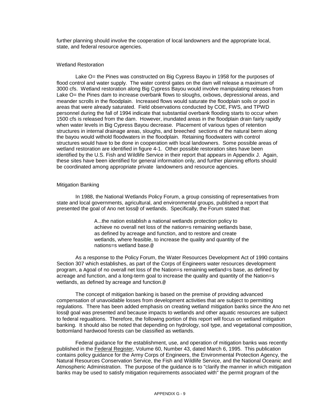further planning should involve the cooperation of local landowners and the appropriate local, state, and federal resource agencies.

#### Wetland Restoration

Lake O= the Pines was constructed on Big Cypress Bayou in 1958 for the purposes of flood control and water supply. The water control gates on the dam will release a maximum of 3000 cfs. Wetland restoration along Big Cypress Bayou would involve manipulating releases from Lake O= the Pines dam to increase overbank flows to sloughs, oxbows, depressional areas, and meander scrolls in the floodplain. Increased flows would saturate the floodplain soils or pool in areas that were already saturated. Field observations conducted by COE, FWS, and TPWD personnel during the fall of 1994 indicate that substantial overbank flooding starts to occur when 1500 cfs is released from the dam. However, inundated areas in the floodplain drain fairly rapidly when water levels in Big Cypress Bayou decrease. Placement of various types of retention structures in internal drainage areas, sloughs, and breeched sections of the natural berm along the bayou would withold floodwaters in the floodplain. Retaining floodwaters with control structures would have to be done in cooperation with local landowners. Some possible areas of wetland restoration are identified in figure 4-1. Other possible restoration sites have been identified by the U.S. Fish and Wildlife Service in their report that appears in Appendix J. Again, these sites have been identified for general information only, and further planning efforts should be coordinated among appropriate private landowners and resource agencies.

#### Mitigation Banking

In 1988, the National Wetlands Policy Forum, a group consisting of representatives from state and local governments, agricultural, and environmental groups, published a report that presented the goal of Ano net loss@ of wetlands. Specifically, the Forum stated that:

> A...the nation establish a national wetlands protection policy to achieve no overall net loss of the nation=s remaining wetlands base, as defined by acreage and function, and to restore and create wetlands, where feasible, to increase the quality and quantity of the nations=s wetland base.@

As a response to the Policy Forum, the Water Resources Development Act of 1990 contains Section 307 which establishes, as part of the Corps of Engineers water resources development program, a Agoal of no overall net loss of the Nation=s remaining wetland=s base, as defined by acreage and function, and a long-term goal to increase the quality and quantity of the Nation=s wetlands, as defined by acreage and function.@

The concept of mitigation banking is based on the premise of providing advanced compensation of unavoidable losses from development activities that are subject to permitting regulations. There has been added emphasis on creating wetland mitigation banks since the Ano net loss<sup>®</sup> goal was presented and because impacts to wetlands and other aquatic resources are subject to federal regualtions. Therefore, the following portion of this report will focus on wetland mitigation banking. It should also be noted that depending on hydrology, soil type, and vegetational composition, bottomland hardwood forests can be classified as wetlands.

Federal guidance for the establishment, use, and operation of mitigation banks was recently published in the Federal Register, Volume 60, Number 43, dated March 6, 1995. This publication contains policy guidance for the Army Corps of Engineers, the Environmental Protection Agency, the Natural Resources Conservation Service, the Fish and Wildlife Service, and the National Oceanic and Atmospheric Administration. The purpose of the guidance is to "clarify the manner in which mitigation banks may be used to satisfy mitigation requirements associated with" the permit program of the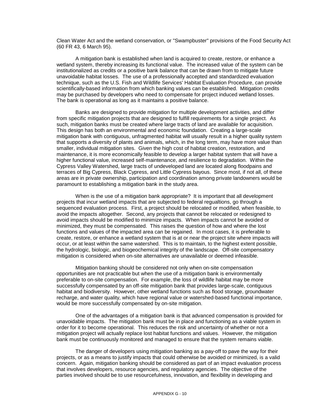Clean Water Act and the wetland conservation, or "Swampbuster" provisions of the Food Security Act (60 FR 43, 6 March 95).

A mitigation bank is established when land is acquired to create, restore, or enhance a wetland system, thereby increasing its functional value. The increased value of the system can be institutionalized as credits or a positive bank balance that can be drawn from to mitigate future unavoidable habitat losses. The use of a professionally accepted and standardized evaluation technique, such as the U.S. Fish and Wildlife Services' Habitat Evaluation Procedure, can provide scientifically-based information from which banking values can be established. Mitigation credits may be purchased by developers who need to compensate for project induced wetland losses. The bank is operational as long as it maintains a positive balance.

Banks are designed to provide mitigation for multiple development activities, and differ from specific mitigation projects that are designed to fulfill requirements for a single project. As such, mitigation banks must be created where large tracts of land are available for acquisition. This design has both an environmental and economic foundation. Creating a large-scale mitigation bank with contiguous, unfragmented habitat will usually result in a higher quality system that supports a diversity of plants and animals, which, in the long term, may have more value than smaller, individual mitigation sites. Given the high cost of habitat creation, restoration, and maintenance, it is more economically feasible to develop a larger habitat system that will have a higher functional value, increased self-maintenance, and resilience to degradation. Within the Cypress Valley Watershed, large tracts of undeveloped land are located along floodpains and terraces of Big Cypress, Black Cypress, and Little Cypress bayous. Since most, if not all, of these areas are in private ownership, participation and coordination among private landowners would be paramount to establishing a mitigation bank in the study area.

When is the use of a mitigation bank appropriate? It is important that all development projects that incur wetland impacts that are subjected to federal regualtions, go through a sequenced evaluation process. First, a project should be relocated or modified, when feasible, to avoid the impacts altogether. Second, any projects that cannot be relocated or redesigned to avoid impacts should be modified to minimize impacts. When impacts cannot be avoided or minimized, they must be compensated. This raises the question of how and where the lost functions and values of the impacted area can be regained. In most cases, it is preferable to create, restore, or enhance a wetland system that is at or near the project site where impacts will occur, or at least within the same watershed. This is to maintain, to the highest extent possible, the hydrologic, biologic, and biogeochemical integrity of the landscape. Off-site compensatory mitigation is considered when on-site alternatives are unavailable or deemed infeasible.

Mitigation banking should be considered not only when on-site compensation opportunities are not practicable but when the use of a mitigation bank is environmentally preferable to on-site compensation. For example, the loss of wildlife habitat may be more successfully compensated by an off-site mitigation bank that provides large-scale, contiguous habitat and biodiversity. However, other wetland functions such as flood storage, groundwater recharge, and water quality, which have regional value or watershed-based functional importance, would be more successfully compensated by on-site mitigation.

One of the advantages of a mitigation bank is that advanced compensation is provided for unavoidable impacts. The mitigation bank must be in place and functioning as a viable system in order for it to become operational. This reduces the risk and uncertainty of whether or not a mitigation project will actually replace lost habitat functions and values. However, the mitigation bank must be continuously monitored and managed to ensure that the system remains viable.

The danger of developers using mitigation banking as a pay-off to pave the way for their projects, or as a means to justify impacts that could otherwise be avoided or minimized, is a valid concern. Again, mitigation banking should be considered as part of an impact evaluation process that involves developers, resource agencies, and regulatory agencies. The objective of the parties involved should be to use resourcefulness, innovation, and flexibility in developing and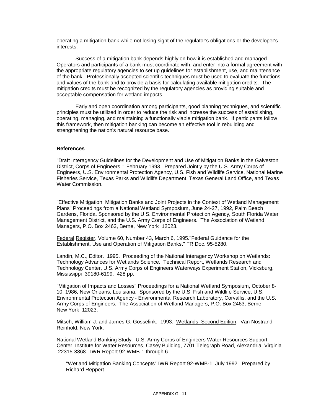operating a mitigation bank while not losing sight of the regulator's obligations or the developer's interests.

Success of a mitigation bank depends highly on how it is established and managed. Operators and participants of a bank must coordinate with, and enter into a formal agreement with the appropriate regulatory agencies to set up guidelines for establishment, use, and maintenance of the bank. Professionally accepted scientific techniques must be used to evaluate the functions and values of the bank and to provide a basis for calculating available mitigation credits. The mitigation credits must be recognized by the regulatory agencies as providing suitable and acceptable compensation for wetland impacts.

Early and open coordination among participants, good planning techniques, and scientific principles must be utilized in order to reduce the risk and increase the success of establishing, operating, managing, and maintaining a functionally viable mitigation bank. If participants follow this framework, then mitigation banking can become an effective tool in rebuilding and strengthening the nation's natural resource base.

#### **References**

"Draft Interagency Guidelines for the Development and Use of Mitigation Banks in the Galveston District, Corps of Engineers." February 1993. Prepared Jointly by the U.S. Army Corps of Engineers, U.S. Environmental Protection Agency, U.S. Fish and Wildlife Service, National Marine Fisheries Service, Texas Parks and Wildlife Department, Texas General Land Office, and Texas Water Commission.

"Effective Mitigation: Mitigation Banks and Joint Projects in the Context of Wetland Management Plans" Proceedings from a National Wetland Symposium, June 24-27, 1992, Palm Beach Gardens, Florida. Sponsored by the U.S. Environmental Protection Agency, South Florida Water Management District, and the U.S. Army Corps of Engineers. The Association of Wetland Managers, P.O. Box 2463, Berne, New York 12023.

Federal Register, Volume 60, Number 43, March 6, 1995."Federal Guidance for the Establishment, Use and Operation of Mitigation Banks." FR Doc. 95-5280.

Landin, M.C., Editor. 1995. Proceeding of the National Interagency Workshop on Wetlands: Technology Advances for Wetlands Science. Technical Report, Wetlands Research and Technology Center, U.S. Army Corps of Engineers Waterways Experiment Station, Vicksburg, Mississippi 39180-6199. 428 pp.

"Mitigation of Impacts and Losses" Proceedings for a National Wetland Symposium, October 8- 10, 1986, New Orleans, Louisiana. Sponsored by the U.S. Fish and Wildlife Service, U.S. Environmental Protection Agency - Environmental Research Laboratory, Corvallis, and the U.S. Army Corps of Engineers. The Association of Wetland Managers, P.O. Box 2463, Berne, New York 12023.

Mitsch, William J. and James G. Gosselink. 1993. Wetlands, Second Edition. Van Nostrand Reinhold, New York.

National Wetland Banking Study. U.S. Army Corps of Engineers Water Resources Support Center, Institute for Water Resources, Casey Building, 7701 Telegraph Road, Alexandria, Virginia 22315-3868. IWR Report 92-WMB-1 through 6.

"Wetland Mitigation Banking Concepts" IWR Report 92-WMB-1, July 1992. Prepared by Richard Reppert.